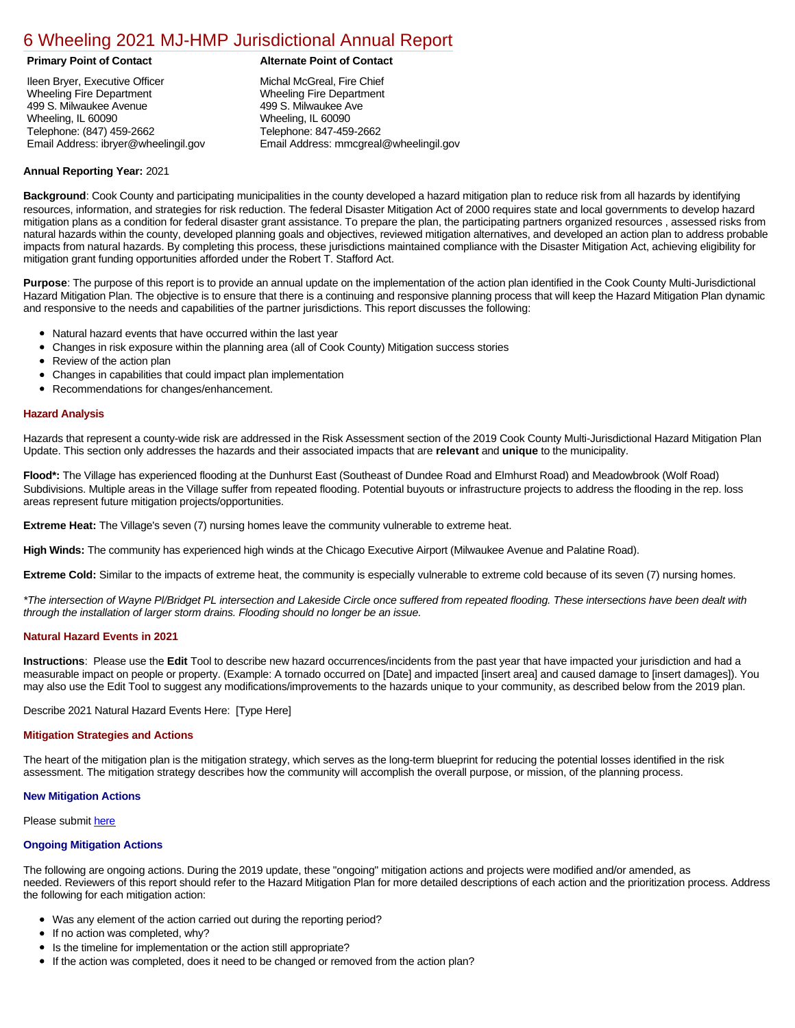### [6 Wheeling 2021 MJ-HMP Jurisdictional Annual Report](https://wheeling.isc-cemp.com/Cemp/Details?id=8326674)

Ileen Bryer, Executive Officer Wheeling Fire Department 499 S. Milwaukee Avenue Wheeling, IL 60090 Telephone: (847) 459-2662 Email Address: ibryer@wheelingil.gov

### **Primary Point of Contact Alternate Point of Contact**

Michal McGreal, Fire Chief Wheeling Fire Department 499 S. Milwaukee Ave Wheeling, IL 60090 Telephone: 847-459-2662 Email Address: mmcgreal@wheelingil.gov

#### **Annual Reporting Year:** 2021

**Background**: Cook County and participating municipalities in the county developed a hazard mitigation plan to reduce risk from all hazards by identifying resources, information, and strategies for risk reduction. The federal Disaster Mitigation Act of 2000 requires state and local governments to develop hazard mitigation plans as a condition for federal disaster grant assistance. To prepare the plan, the participating partners organized resources , assessed risks from natural hazards within the county, developed planning goals and objectives, reviewed mitigation alternatives, and developed an action plan to address probable impacts from natural hazards. By completing this process, these jurisdictions maintained compliance with the Disaster Mitigation Act, achieving eligibility for mitigation grant funding opportunities afforded under the Robert T. Stafford Act.

**Purpose**: The purpose of this report is to provide an annual update on the implementation of the action plan identified in the Cook County Multi-Jurisdictional Hazard Mitigation Plan. The objective is to ensure that there is a continuing and responsive planning process that will keep the Hazard Mitigation Plan dynamic and responsive to the needs and capabilities of the partner jurisdictions. This report discusses the following:

- Natural hazard events that have occurred within the last year
- Changes in risk exposure within the planning area (all of Cook County) Mitigation success stories
- $\bullet$ Review of the action plan
- Changes in capabilities that could impact plan implementation
- Recommendations for changes/enhancement.

#### **Hazard Analysis**

Hazards that represent a county-wide risk are addressed in the Risk Assessment section of the 2019 Cook County Multi-Jurisdictional Hazard Mitigation Plan Update. This section only addresses the hazards and their associated impacts that are **relevant** and **unique** to the municipality.

**Flood\*:** The Village has experienced flooding at the Dunhurst East (Southeast of Dundee Road and Elmhurst Road) and Meadowbrook (Wolf Road) Subdivisions. Multiple areas in the Village suffer from repeated flooding. Potential buyouts or infrastructure projects to address the flooding in the rep. loss areas represent future mitigation projects/opportunities.

**Extreme Heat:** The Village's seven (7) nursing homes leave the community vulnerable to extreme heat.

**High Winds:** The community has experienced high winds at the Chicago Executive Airport (Milwaukee Avenue and Palatine Road).

**Extreme Cold:** Similar to the impacts of extreme heat, the community is especially vulnerable to extreme cold because of its seven (7) nursing homes.

*\*The intersection of Wayne Pl/Bridget PL intersection and Lakeside Circle once suffered from repeated flooding. These intersections have been dealt with through the installation of larger storm drains. Flooding should no longer be an issue.*

#### **Natural Hazard Events in 2021**

**Instructions**: Please use the **Edit** Tool to describe new hazard occurrences/incidents from the past year that have impacted your jurisdiction and had a measurable impact on people or property. (Example: A tornado occurred on [Date] and impacted [insert area] and caused damage to [insert damages]). You may also use the Edit Tool to suggest any modifications/improvements to the hazards unique to your community, as described below from the 2019 plan.

Describe 2021 Natural Hazard Events Here: [Type Here]

#### **Mitigation Strategies and Actions**

The heart of the mitigation plan is the mitigation strategy, which serves as the long-term blueprint for reducing the potential losses identified in the risk assessment. The mitigation strategy describes how the community will accomplish the overall purpose, or mission, of the planning process.

#### **New Mitigation Actions**

Please submit [here](https://integratedsolutions.wufoo.com/forms/mg21jvf0jn639o/)

#### **Ongoing Mitigation Actions**

The following are ongoing actions. During the 2019 update, these "ongoing" mitigation actions and projects were modified and/or amended, as needed. Reviewers of this report should refer to the Hazard Mitigation Plan for more detailed descriptions of each action and the prioritization process. Address the following for each mitigation action:

- Was any element of the action carried out during the reporting period?
- If no action was completed, why?
- Is the timeline for implementation or the action still appropriate?
- If the action was completed, does it need to be changed or removed from the action plan?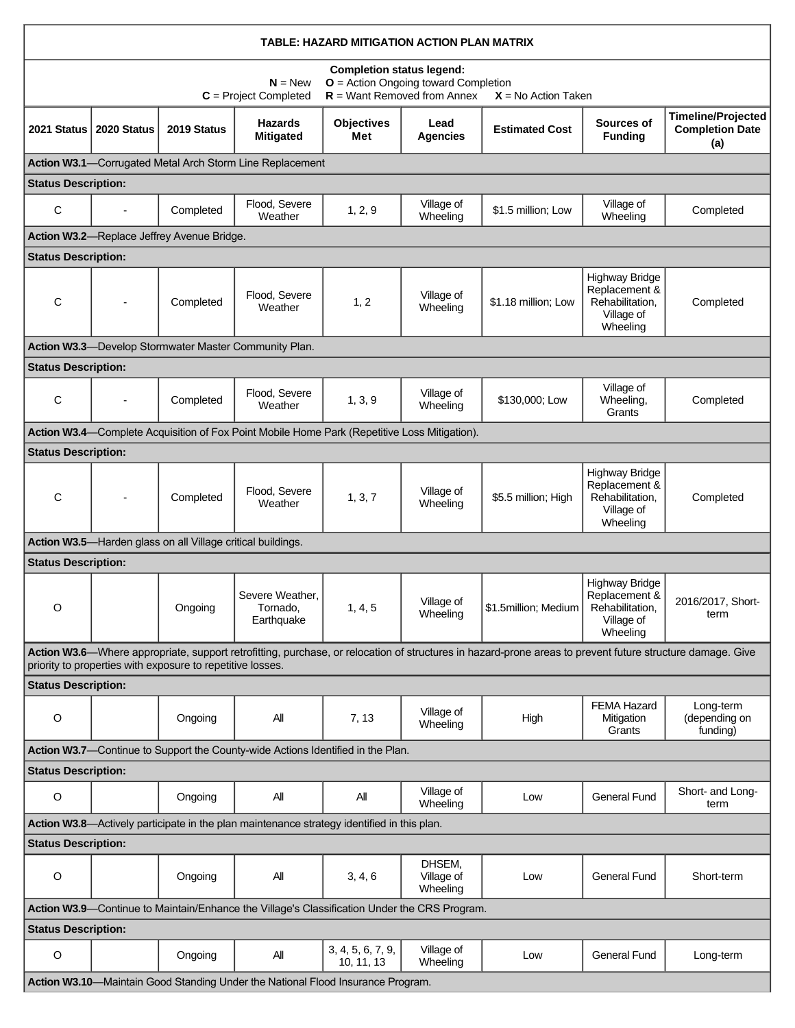| TABLE: HAZARD MITIGATION ACTION PLAN MATRIX                                                                                                                                                                             |                                                                                                                                                                                   |                                            |                                                                                              |                                 |                                  |                       |                                                                                     |                                                            |
|-------------------------------------------------------------------------------------------------------------------------------------------------------------------------------------------------------------------------|-----------------------------------------------------------------------------------------------------------------------------------------------------------------------------------|--------------------------------------------|----------------------------------------------------------------------------------------------|---------------------------------|----------------------------------|-----------------------|-------------------------------------------------------------------------------------|------------------------------------------------------------|
|                                                                                                                                                                                                                         | <b>Completion status legend:</b><br><b>O</b> = Action Ongoing toward Completion<br>$N = New$<br>$R =$ Want Removed from Annex<br>$C = Project Completed$<br>$X = No$ Action Taken |                                            |                                                                                              |                                 |                                  |                       |                                                                                     |                                                            |
| 2021 Status                                                                                                                                                                                                             | 2020 Status                                                                                                                                                                       | 2019 Status                                | <b>Hazards</b><br><b>Mitigated</b>                                                           | <b>Objectives</b><br>Met        | Lead<br><b>Agencies</b>          | <b>Estimated Cost</b> | Sources of<br><b>Funding</b>                                                        | <b>Timeline/Projected</b><br><b>Completion Date</b><br>(a) |
|                                                                                                                                                                                                                         |                                                                                                                                                                                   |                                            | Action W3.1-Corrugated Metal Arch Storm Line Replacement                                     |                                 |                                  |                       |                                                                                     |                                                            |
| <b>Status Description:</b>                                                                                                                                                                                              |                                                                                                                                                                                   |                                            |                                                                                              |                                 |                                  |                       |                                                                                     |                                                            |
| C                                                                                                                                                                                                                       |                                                                                                                                                                                   | Completed                                  | Flood, Severe<br>Weather                                                                     | 1, 2, 9                         | Village of<br>Wheeling           | \$1.5 million; Low    | Village of<br>Wheeling                                                              | Completed                                                  |
|                                                                                                                                                                                                                         |                                                                                                                                                                                   | Action W3.2-Replace Jeffrey Avenue Bridge. |                                                                                              |                                 |                                  |                       |                                                                                     |                                                            |
| <b>Status Description:</b>                                                                                                                                                                                              |                                                                                                                                                                                   |                                            |                                                                                              |                                 |                                  |                       |                                                                                     |                                                            |
| C                                                                                                                                                                                                                       |                                                                                                                                                                                   | Completed                                  | Flood, Severe<br>Weather                                                                     | 1, 2                            | Village of<br>Wheeling           | \$1.18 million; Low   | <b>Highway Bridge</b><br>Replacement &<br>Rehabilitation,<br>Village of<br>Wheeling | Completed                                                  |
|                                                                                                                                                                                                                         |                                                                                                                                                                                   |                                            | Action W3.3-Develop Stormwater Master Community Plan.                                        |                                 |                                  |                       |                                                                                     |                                                            |
| <b>Status Description:</b>                                                                                                                                                                                              |                                                                                                                                                                                   |                                            |                                                                                              |                                 |                                  |                       |                                                                                     |                                                            |
| C                                                                                                                                                                                                                       |                                                                                                                                                                                   | Completed                                  | Flood, Severe<br>Weather                                                                     | 1, 3, 9                         | Village of<br>Wheeling           | \$130,000; Low        | Village of<br>Wheeling,<br>Grants                                                   | Completed                                                  |
|                                                                                                                                                                                                                         |                                                                                                                                                                                   |                                            | Action W3.4—Complete Acquisition of Fox Point Mobile Home Park (Repetitive Loss Mitigation). |                                 |                                  |                       |                                                                                     |                                                            |
| <b>Status Description:</b>                                                                                                                                                                                              |                                                                                                                                                                                   |                                            |                                                                                              |                                 |                                  |                       |                                                                                     |                                                            |
| C                                                                                                                                                                                                                       |                                                                                                                                                                                   | Completed                                  | Flood, Severe<br>Weather                                                                     | 1, 3, 7                         | Village of<br>Wheeling           | \$5.5 million; High   | <b>Highway Bridge</b><br>Replacement &<br>Rehabilitation,<br>Village of<br>Wheeling | Completed                                                  |
|                                                                                                                                                                                                                         | Action W3.5-Harden glass on all Village critical buildings.                                                                                                                       |                                            |                                                                                              |                                 |                                  |                       |                                                                                     |                                                            |
|                                                                                                                                                                                                                         | <b>Status Description:</b>                                                                                                                                                        |                                            |                                                                                              |                                 |                                  |                       |                                                                                     |                                                            |
| O                                                                                                                                                                                                                       |                                                                                                                                                                                   | Ongoing                                    | Severe Weather,<br>Tornado,<br>Earthquake                                                    | 1, 4, 5                         | Village of<br>Wheeling           | \$1.5million; Medium  | Highway Bridge<br>Replacement &<br>Rehabilitation,<br>Village of<br>Wheeling        | 2016/2017, Short-<br>term                                  |
| Action W3.6—Where appropriate, support retrofitting, purchase, or relocation of structures in hazard-prone areas to prevent future structure damage. Give<br>priority to properties with exposure to repetitive losses. |                                                                                                                                                                                   |                                            |                                                                                              |                                 |                                  |                       |                                                                                     |                                                            |
| <b>Status Description:</b>                                                                                                                                                                                              |                                                                                                                                                                                   |                                            |                                                                                              |                                 |                                  |                       |                                                                                     |                                                            |
| $\circ$                                                                                                                                                                                                                 |                                                                                                                                                                                   | Ongoing                                    | All                                                                                          | 7, 13                           | Village of<br>Wheeling           | High                  | <b>FEMA Hazard</b><br>Mitigation<br>Grants                                          | Long-term<br>(depending on<br>funding)                     |
|                                                                                                                                                                                                                         |                                                                                                                                                                                   |                                            | Action W3.7-Continue to Support the County-wide Actions Identified in the Plan.              |                                 |                                  |                       |                                                                                     |                                                            |
| <b>Status Description:</b>                                                                                                                                                                                              |                                                                                                                                                                                   |                                            |                                                                                              |                                 |                                  |                       |                                                                                     |                                                            |
| O                                                                                                                                                                                                                       |                                                                                                                                                                                   | Ongoing                                    | All                                                                                          | All                             | Village of<br>Wheeling           | Low                   | General Fund                                                                        | Short- and Long-<br>term                                   |
|                                                                                                                                                                                                                         |                                                                                                                                                                                   |                                            | Action W3.8-Actively participate in the plan maintenance strategy identified in this plan.   |                                 |                                  |                       |                                                                                     |                                                            |
| <b>Status Description:</b>                                                                                                                                                                                              |                                                                                                                                                                                   |                                            |                                                                                              |                                 |                                  |                       |                                                                                     |                                                            |
| $\circ$                                                                                                                                                                                                                 |                                                                                                                                                                                   | Ongoing                                    | All                                                                                          | 3, 4, 6                         | DHSEM,<br>Village of<br>Wheeling | Low                   | <b>General Fund</b>                                                                 | Short-term                                                 |
| Action W3.9-Continue to Maintain/Enhance the Village's Classification Under the CRS Program.                                                                                                                            |                                                                                                                                                                                   |                                            |                                                                                              |                                 |                                  |                       |                                                                                     |                                                            |
| <b>Status Description:</b>                                                                                                                                                                                              |                                                                                                                                                                                   |                                            |                                                                                              |                                 |                                  |                       |                                                                                     |                                                            |
| O                                                                                                                                                                                                                       |                                                                                                                                                                                   | Ongoing                                    | All                                                                                          | 3, 4, 5, 6, 7, 9,<br>10, 11, 13 | Village of<br>Wheeling           | Low                   | <b>General Fund</b>                                                                 | Long-term                                                  |
|                                                                                                                                                                                                                         | Action W3.10-Maintain Good Standing Under the National Flood Insurance Program.                                                                                                   |                                            |                                                                                              |                                 |                                  |                       |                                                                                     |                                                            |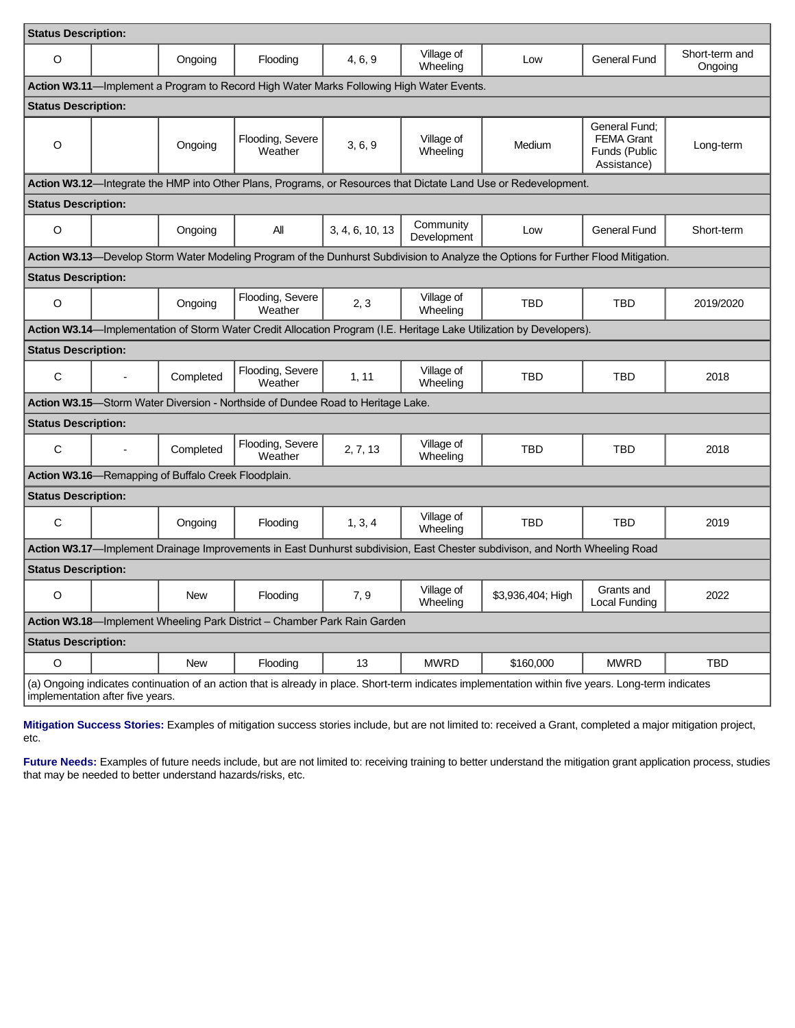| <b>Status Description:</b>                                                      |                                                                                                                                                                                          |           |                                                                          |                 |                          |                                                                                                                                    |                                                                    |                           |  |
|---------------------------------------------------------------------------------|------------------------------------------------------------------------------------------------------------------------------------------------------------------------------------------|-----------|--------------------------------------------------------------------------|-----------------|--------------------------|------------------------------------------------------------------------------------------------------------------------------------|--------------------------------------------------------------------|---------------------------|--|
| $\circ$                                                                         |                                                                                                                                                                                          | Ongoing   | Flooding                                                                 | 4, 6, 9         | Village of<br>Wheeling   | Low                                                                                                                                | <b>General Fund</b>                                                | Short-term and<br>Ongoing |  |
|                                                                                 | Action W3.11—Implement a Program to Record High Water Marks Following High Water Events.                                                                                                 |           |                                                                          |                 |                          |                                                                                                                                    |                                                                    |                           |  |
| <b>Status Description:</b>                                                      |                                                                                                                                                                                          |           |                                                                          |                 |                          |                                                                                                                                    |                                                                    |                           |  |
| $\circ$                                                                         |                                                                                                                                                                                          | Ongoing   | Flooding, Severe<br>Weather                                              | 3, 6, 9         | Village of<br>Wheeling   | Medium                                                                                                                             | General Fund:<br><b>FEMA Grant</b><br>Funds (Public<br>Assistance) | Long-term                 |  |
|                                                                                 |                                                                                                                                                                                          |           |                                                                          |                 |                          | Action W3.12-Integrate the HMP into Other Plans, Programs, or Resources that Dictate Land Use or Redevelopment.                    |                                                                    |                           |  |
| <b>Status Description:</b>                                                      |                                                                                                                                                                                          |           |                                                                          |                 |                          |                                                                                                                                    |                                                                    |                           |  |
| $\circ$                                                                         |                                                                                                                                                                                          | Ongoing   | All                                                                      | 3, 4, 6, 10, 13 | Community<br>Development | Low                                                                                                                                | <b>General Fund</b>                                                | Short-term                |  |
|                                                                                 |                                                                                                                                                                                          |           |                                                                          |                 |                          | Action W3.13-Develop Storm Water Modeling Program of the Dunhurst Subdivision to Analyze the Options for Further Flood Mitigation. |                                                                    |                           |  |
| <b>Status Description:</b>                                                      |                                                                                                                                                                                          |           |                                                                          |                 |                          |                                                                                                                                    |                                                                    |                           |  |
| O                                                                               |                                                                                                                                                                                          | Ongoing   | Flooding, Severe<br>Weather                                              | 2, 3            | Village of<br>Wheeling   | <b>TBD</b>                                                                                                                         | <b>TBD</b>                                                         | 2019/2020                 |  |
|                                                                                 |                                                                                                                                                                                          |           |                                                                          |                 |                          | Action W3.14-Implementation of Storm Water Credit Allocation Program (I.E. Heritage Lake Utilization by Developers).               |                                                                    |                           |  |
| <b>Status Description:</b>                                                      |                                                                                                                                                                                          |           |                                                                          |                 |                          |                                                                                                                                    |                                                                    |                           |  |
| C                                                                               |                                                                                                                                                                                          | Completed | Flooding, Severe<br>Weather                                              | 1, 11           | Village of<br>Wheeling   | TBD                                                                                                                                | <b>TBD</b>                                                         | 2018                      |  |
| Action W3.15—Storm Water Diversion - Northside of Dundee Road to Heritage Lake. |                                                                                                                                                                                          |           |                                                                          |                 |                          |                                                                                                                                    |                                                                    |                           |  |
| <b>Status Description:</b>                                                      |                                                                                                                                                                                          |           |                                                                          |                 |                          |                                                                                                                                    |                                                                    |                           |  |
| $\mathsf{C}$                                                                    |                                                                                                                                                                                          | Completed | Flooding, Severe<br>Weather                                              | 2, 7, 13        | Village of<br>Wheeling   | TBD                                                                                                                                | <b>TBD</b>                                                         | 2018                      |  |
| Action W3.16-Remapping of Buffalo Creek Floodplain.                             |                                                                                                                                                                                          |           |                                                                          |                 |                          |                                                                                                                                    |                                                                    |                           |  |
| <b>Status Description:</b>                                                      |                                                                                                                                                                                          |           |                                                                          |                 |                          |                                                                                                                                    |                                                                    |                           |  |
| С                                                                               |                                                                                                                                                                                          | Ongoing   | Flooding                                                                 | 1, 3, 4         | Village of<br>Wheeling   | <b>TBD</b>                                                                                                                         | <b>TBD</b>                                                         | 2019                      |  |
|                                                                                 | Action W3.17-Implement Drainage Improvements in East Dunhurst subdivision, East Chester subdivison, and North Wheeling Road                                                              |           |                                                                          |                 |                          |                                                                                                                                    |                                                                    |                           |  |
| <b>Status Description:</b>                                                      |                                                                                                                                                                                          |           |                                                                          |                 |                          |                                                                                                                                    |                                                                    |                           |  |
| O                                                                               |                                                                                                                                                                                          | New       | Flooding                                                                 | 7, 9            | Village of<br>Wheeling   | \$3,936,404; High                                                                                                                  | Grants and<br>Local Funding                                        | 2022                      |  |
|                                                                                 |                                                                                                                                                                                          |           | Action W3.18-Implement Wheeling Park District - Chamber Park Rain Garden |                 |                          |                                                                                                                                    |                                                                    |                           |  |
| <b>Status Description:</b>                                                      |                                                                                                                                                                                          |           |                                                                          |                 |                          |                                                                                                                                    |                                                                    |                           |  |
| O                                                                               |                                                                                                                                                                                          | New       | Flooding                                                                 | 13              | <b>MWRD</b>              | \$160,000                                                                                                                          | <b>MWRD</b>                                                        | TBD                       |  |
|                                                                                 | (a) Ongoing indicates continuation of an action that is already in place. Short-term indicates implementation within five years. Long-term indicates<br>implementation after five years. |           |                                                                          |                 |                          |                                                                                                                                    |                                                                    |                           |  |

**Mitigation Success Stories:** Examples of mitigation success stories include, but are not limited to: received a Grant, completed a major mitigation project, etc.

Future Needs: Examples of future needs include, but are not limited to: receiving training to better understand the mitigation grant application process, studies that may be needed to better understand hazards/risks, etc.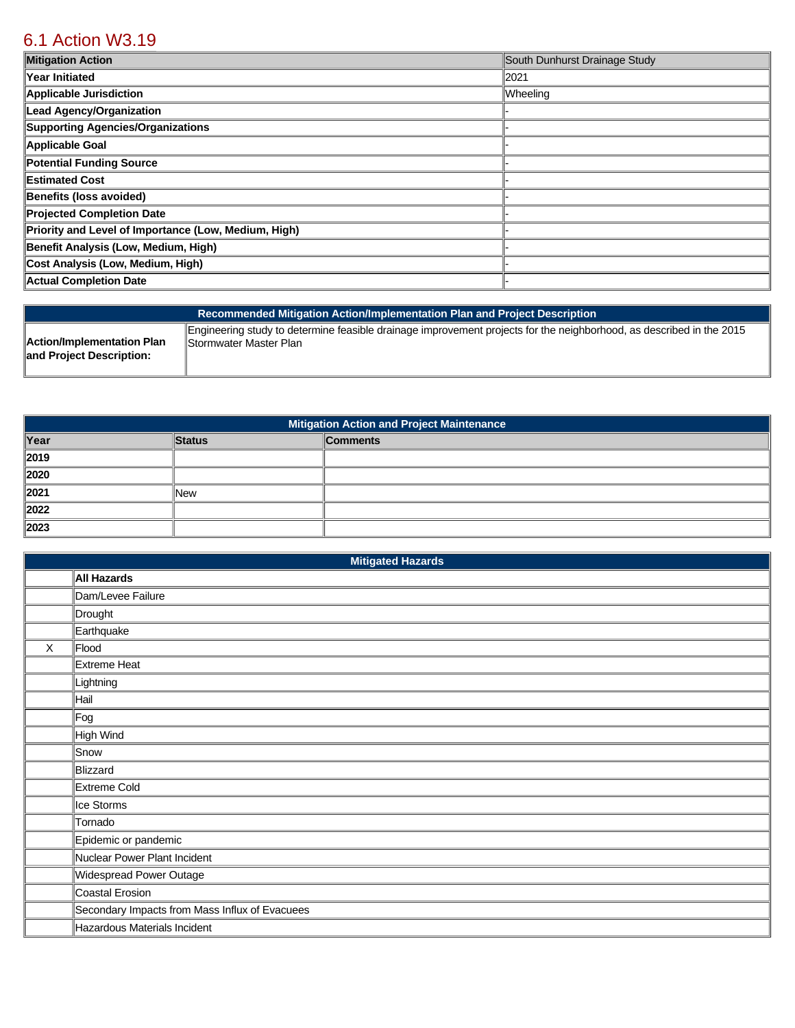# [6.1 Action W3.19](https://wheeling.isc-cemp.com/Cemp/Details?id=8334936)

| <b>Mitigation Action</b>                             | South Dunhurst Drainage Study |
|------------------------------------------------------|-------------------------------|
| Year Initiated                                       | 2021                          |
| Applicable Jurisdiction                              | Wheeling                      |
| Lead Agency/Organization                             |                               |
| Supporting Agencies/Organizations                    |                               |
| Applicable Goal                                      |                               |
| Potential Funding Source                             |                               |
| <b>Estimated Cost</b>                                |                               |
| Benefits (loss avoided)                              |                               |
| Projected Completion Date                            |                               |
| Priority and Level of Importance (Low, Medium, High) |                               |
| Benefit Analysis (Low, Medium, High)                 |                               |
| Cost Analysis (Low, Medium, High)                    |                               |
| Actual Completion Date                               |                               |

| Recommended Mitigation Action/Implementation Plan and Project Description |                                                                                                                      |  |  |  |
|---------------------------------------------------------------------------|----------------------------------------------------------------------------------------------------------------------|--|--|--|
| Action/Implementation Plan                                                | Engineering study to determine feasible drainage improvement projects for the neighborhood, as described in the 2015 |  |  |  |
| and Project Description:                                                  | <b>Stormwater Master Plan</b>                                                                                        |  |  |  |

| <b>Mitigation Action and Project Maintenance</b> |               |                 |  |
|--------------------------------------------------|---------------|-----------------|--|
| Year                                             | <b>Status</b> | <b>Comments</b> |  |
| $\sqrt{2019}$                                    |               |                 |  |
| 2020                                             |               |                 |  |
| 2021                                             | <b>New</b>    |                 |  |
| 2022                                             |               |                 |  |
| $\vert$ 2023                                     |               |                 |  |

|   | <b>Mitigated Hazards</b>                       |  |  |  |  |
|---|------------------------------------------------|--|--|--|--|
|   | <b>All Hazards</b>                             |  |  |  |  |
|   | Dam/Levee Failure                              |  |  |  |  |
|   | Drought                                        |  |  |  |  |
|   | Earthquake                                     |  |  |  |  |
| X | Flood                                          |  |  |  |  |
|   | Extreme Heat                                   |  |  |  |  |
|   | Lightning                                      |  |  |  |  |
|   | Hail                                           |  |  |  |  |
|   | Fog                                            |  |  |  |  |
|   | High Wind                                      |  |  |  |  |
|   | Snow                                           |  |  |  |  |
|   | Blizzard                                       |  |  |  |  |
|   | Extreme Cold                                   |  |  |  |  |
|   | Ice Storms                                     |  |  |  |  |
|   | Tornado                                        |  |  |  |  |
|   | Epidemic or pandemic                           |  |  |  |  |
|   | Nuclear Power Plant Incident                   |  |  |  |  |
|   | Widespread Power Outage                        |  |  |  |  |
|   | Coastal Erosion                                |  |  |  |  |
|   | Secondary Impacts from Mass Influx of Evacuees |  |  |  |  |
|   | Hazardous Materials Incident                   |  |  |  |  |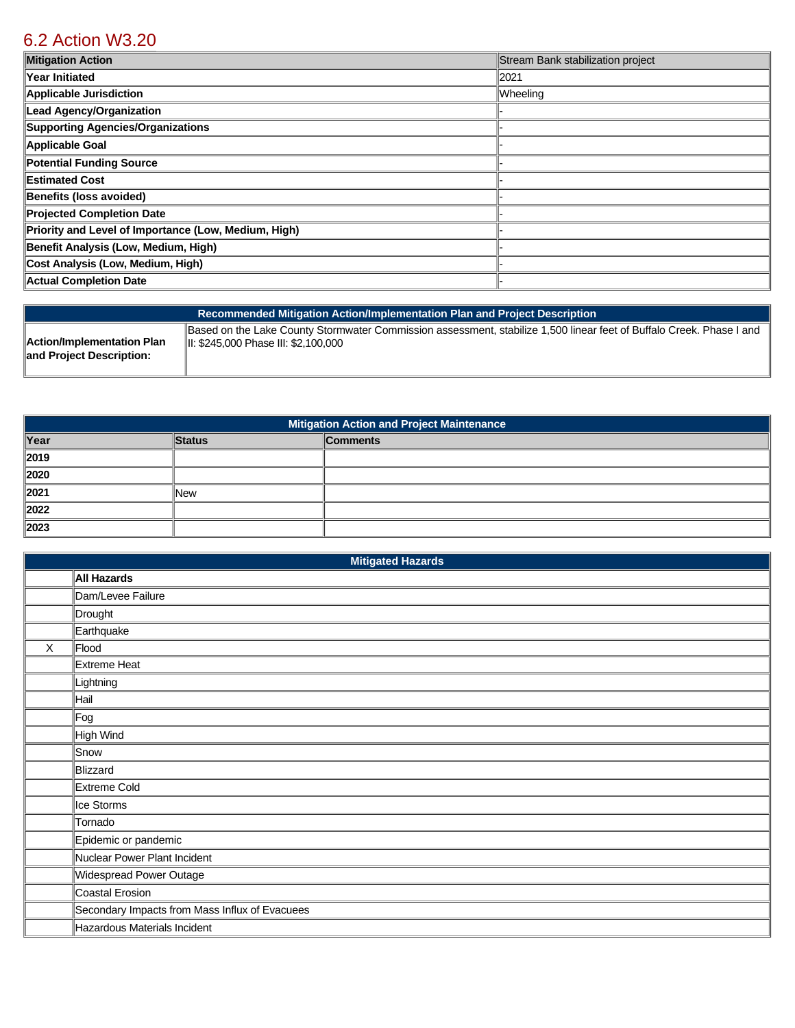## [6.2 Action W3.20](https://wheeling.isc-cemp.com/Cemp/Details?id=8334941)

| <b>Mitigation Action</b>                             | Stream Bank stabilization project |
|------------------------------------------------------|-----------------------------------|
| Year Initiated                                       | 2021                              |
| Applicable Jurisdiction                              | Wheeling                          |
| Lead Agency/Organization                             |                                   |
| Supporting Agencies/Organizations                    |                                   |
| Applicable Goal                                      |                                   |
| Potential Funding Source                             |                                   |
| <b>Estimated Cost</b>                                |                                   |
| Benefits (loss avoided)                              |                                   |
| Projected Completion Date                            |                                   |
| Priority and Level of Importance (Low, Medium, High) |                                   |
| Benefit Analysis (Low, Medium, High)                 |                                   |
| Cost Analysis (Low, Medium, High)                    |                                   |
| Actual Completion Date                               |                                   |

| Recommended Mitigation Action/Implementation Plan and Project Description |                                                                                                                      |  |  |
|---------------------------------------------------------------------------|----------------------------------------------------------------------------------------------------------------------|--|--|
| Action/Implementation Plan                                                | Based on the Lake County Stormwater Commission assessment, stabilize 1,500 linear feet of Buffalo Creek. Phase I and |  |  |
| and Project Description:                                                  | III: \$245,000 Phase III: \$2,100,000                                                                                |  |  |

| Mitigation Action and Project Maintenance |               |                 |  |
|-------------------------------------------|---------------|-----------------|--|
| Year                                      | <b>Status</b> | <b>Comments</b> |  |
| $\vert$ 2019                              |               |                 |  |
| 2020                                      |               |                 |  |
| $\ 2021$                                  | <b>New</b>    |                 |  |
| 2022                                      |               |                 |  |
| 2023                                      |               |                 |  |

|         | <b>Mitigated Hazards</b>                       |  |  |  |  |
|---------|------------------------------------------------|--|--|--|--|
|         | <b>All Hazards</b>                             |  |  |  |  |
|         | Dam/Levee Failure                              |  |  |  |  |
|         | Drought                                        |  |  |  |  |
|         | Earthquake                                     |  |  |  |  |
| $\sf X$ | Flood                                          |  |  |  |  |
|         | Extreme Heat                                   |  |  |  |  |
|         | Lightning                                      |  |  |  |  |
|         | Hail                                           |  |  |  |  |
|         | Fog                                            |  |  |  |  |
|         | High Wind                                      |  |  |  |  |
|         | Snow                                           |  |  |  |  |
|         | Blizzard                                       |  |  |  |  |
|         | Extreme Cold                                   |  |  |  |  |
|         | Ice Storms                                     |  |  |  |  |
|         | Tornado                                        |  |  |  |  |
|         | Epidemic or pandemic                           |  |  |  |  |
|         | Nuclear Power Plant Incident                   |  |  |  |  |
|         | Widespread Power Outage                        |  |  |  |  |
|         | Coastal Erosion                                |  |  |  |  |
|         | Secondary Impacts from Mass Influx of Evacuees |  |  |  |  |
|         | Hazardous Materials Incident                   |  |  |  |  |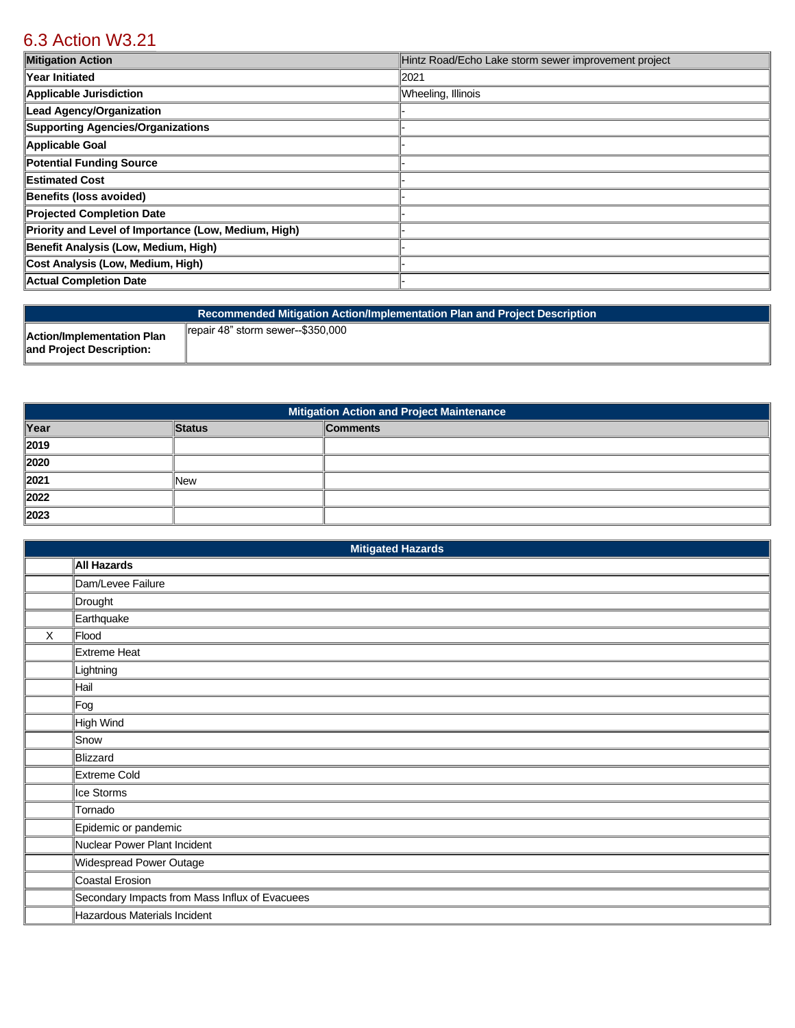# [6.3 Action W3.21](https://wheeling.isc-cemp.com/Cemp/Details?id=8334937)

| <b>Mitigation Action</b>                             | Hintz Road/Echo Lake storm sewer improvement project |
|------------------------------------------------------|------------------------------------------------------|
| Year Initiated                                       | 2021                                                 |
| <b>Applicable Jurisdiction</b>                       | Wheeling, Illinois                                   |
| <b>Lead Agency/Organization</b>                      |                                                      |
| <b>Supporting Agencies/Organizations</b>             |                                                      |
| Applicable Goal                                      |                                                      |
| <b>Potential Funding Source</b>                      |                                                      |
| <b>Estimated Cost</b>                                |                                                      |
| Benefits (loss avoided)                              |                                                      |
| <b>Projected Completion Date</b>                     |                                                      |
| Priority and Level of Importance (Low, Medium, High) |                                                      |
| Benefit Analysis (Low, Medium, High)                 |                                                      |
| Cost Analysis (Low, Medium, High)                    |                                                      |
| <b>Actual Completion Date</b>                        |                                                      |

| Recommended Mitigation Action/Implementation Plan and Project Description |                                   |  |  |
|---------------------------------------------------------------------------|-----------------------------------|--|--|
| <b>Action/Implementation Plan</b><br>and Project Description:             | repair 48" storm sewer--\$350.000 |  |  |

| <b>Mitigation Action and Project Maintenance</b> |               |                 |
|--------------------------------------------------|---------------|-----------------|
| Year                                             | <b>Status</b> | <b>Comments</b> |
| 2019                                             |               |                 |
| 2020                                             |               |                 |
| 2021                                             | New           |                 |
| 2022                                             |               |                 |
| $\ 2023$                                         |               |                 |

| <b>Mitigated Hazards</b> |                                                |  |
|--------------------------|------------------------------------------------|--|
|                          | <b>All Hazards</b>                             |  |
|                          | Dam/Levee Failure                              |  |
|                          | Drought                                        |  |
|                          | Earthquake                                     |  |
| $\times$                 | Flood                                          |  |
|                          | Extreme Heat                                   |  |
|                          | Lightning                                      |  |
|                          | Hail                                           |  |
|                          | Fog                                            |  |
|                          | High Wind                                      |  |
|                          | Snow                                           |  |
|                          | Blizzard                                       |  |
|                          | Extreme Cold                                   |  |
|                          | Ice Storms                                     |  |
|                          | Tornado                                        |  |
|                          | Epidemic or pandemic                           |  |
|                          | Nuclear Power Plant Incident                   |  |
|                          | Widespread Power Outage                        |  |
|                          | Coastal Erosion                                |  |
|                          | Secondary Impacts from Mass Influx of Evacuees |  |
|                          | Hazardous Materials Incident                   |  |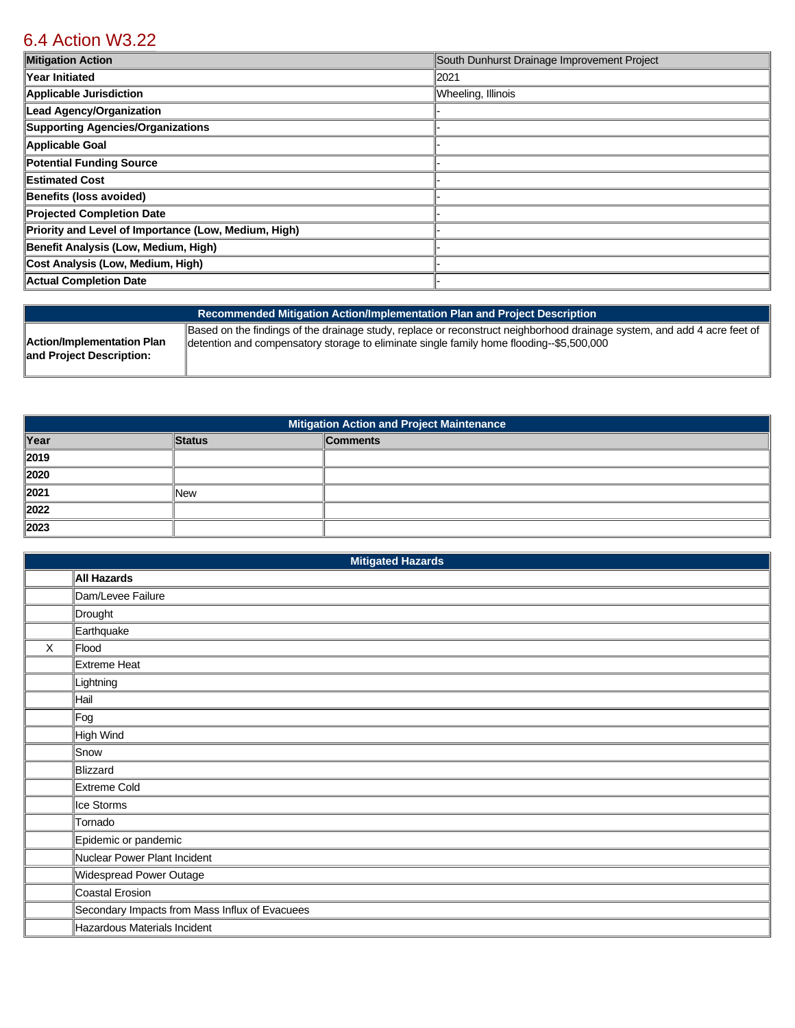## [6.4 Action W3.22](https://wheeling.isc-cemp.com/Cemp/Details?id=8334938)

| <b>Mitigation Action</b>                             | South Dunhurst Drainage Improvement Project |
|------------------------------------------------------|---------------------------------------------|
| Year Initiated                                       | 2021                                        |
| Applicable Jurisdiction                              | Wheeling, Illinois                          |
| Lead Agency/Organization                             |                                             |
| Supporting Agencies/Organizations                    |                                             |
| Applicable Goal                                      |                                             |
| Potential Funding Source                             |                                             |
| Estimated Cost                                       |                                             |
| Benefits (loss avoided)                              |                                             |
| <b>Projected Completion Date</b>                     |                                             |
| Priority and Level of Importance (Low, Medium, High) |                                             |
| Benefit Analysis (Low, Medium, High)                 |                                             |
| Cost Analysis (Low, Medium, High)                    |                                             |
| Actual Completion Date                               |                                             |

| Recommended Mitigation Action/Implementation Plan and Project Description |                                                                                                                          |  |
|---------------------------------------------------------------------------|--------------------------------------------------------------------------------------------------------------------------|--|
| <b>Action/Implementation Plan</b>                                         | Based on the findings of the drainage study, replace or reconstruct neighborhood drainage system, and add 4 acre feet of |  |
| and Project Description:                                                  | detention and compensatory storage to eliminate single family home flooding--\$5,500,000                                 |  |

| Mitigation Action and Project Maintenance |               |                 |
|-------------------------------------------|---------------|-----------------|
| Year                                      | <b>Status</b> | <b>Comments</b> |
| $\vert$ 2019                              |               |                 |
| 2020                                      |               |                 |
| $\vert$ 2021                              | New           |                 |
| 2022                                      |               |                 |
| 2023                                      |               |                 |

|              | <b>Mitigated Hazards</b>                       |  |  |
|--------------|------------------------------------------------|--|--|
|              | All Hazards                                    |  |  |
|              | Dam/Levee Failure                              |  |  |
|              | Drought                                        |  |  |
|              | Earthquake                                     |  |  |
| $\mathsf{X}$ | Flood                                          |  |  |
|              | <b>Extreme Heat</b>                            |  |  |
|              | Lightning                                      |  |  |
|              | Hail                                           |  |  |
|              | Fog                                            |  |  |
|              | High Wind                                      |  |  |
|              | Snow                                           |  |  |
|              | Blizzard                                       |  |  |
|              | Extreme Cold                                   |  |  |
|              | Ice Storms                                     |  |  |
|              | Tornado                                        |  |  |
|              | Epidemic or pandemic                           |  |  |
|              | Nuclear Power Plant Incident                   |  |  |
|              | Widespread Power Outage                        |  |  |
|              | Coastal Erosion                                |  |  |
|              | Secondary Impacts from Mass Influx of Evacuees |  |  |
|              | Hazardous Materials Incident                   |  |  |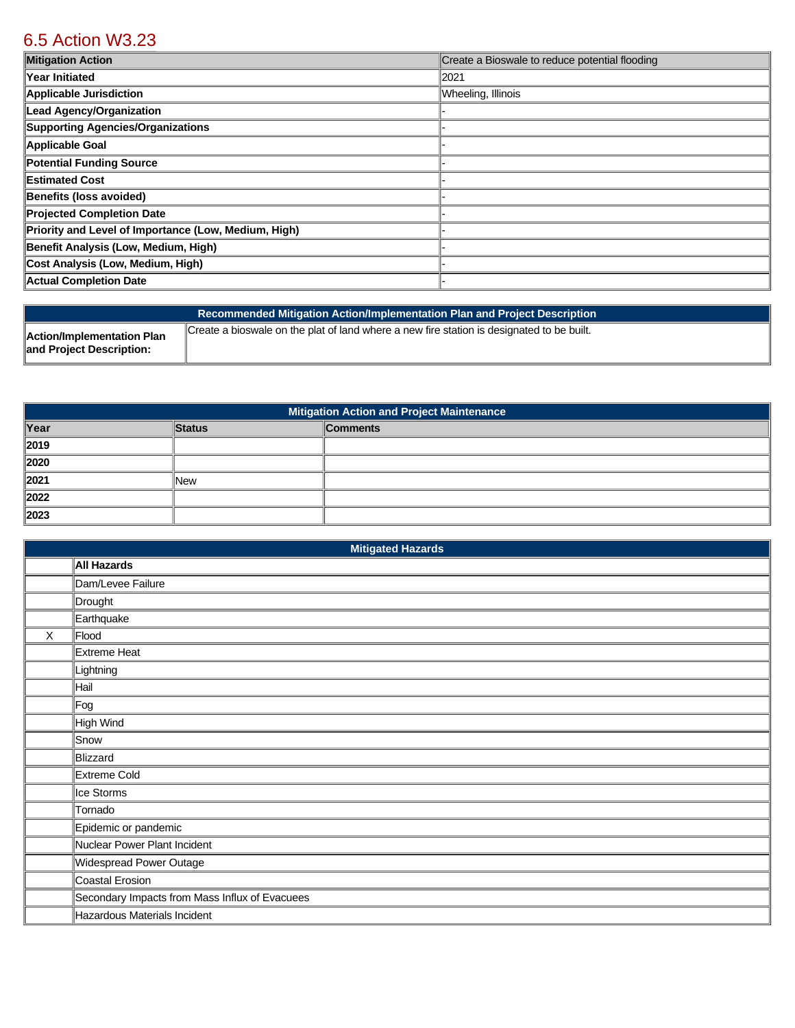# [6.5 Action W3.23](https://wheeling.isc-cemp.com/Cemp/Details?id=8334939)

| <b>Mitigation Action</b>                             | Create a Bioswale to reduce potential flooding |
|------------------------------------------------------|------------------------------------------------|
| Year Initiated                                       | 2021                                           |
| Applicable Jurisdiction                              | Wheeling, Illinois                             |
| Lead Agency/Organization                             |                                                |
| Supporting Agencies/Organizations                    |                                                |
| Applicable Goal                                      |                                                |
| Potential Funding Source                             |                                                |
| Estimated Cost                                       |                                                |
| Benefits (loss avoided)                              |                                                |
| <b>Projected Completion Date</b>                     |                                                |
| Priority and Level of Importance (Low, Medium, High) |                                                |
| Benefit Analysis (Low, Medium, High)                 |                                                |
| Cost Analysis (Low, Medium, High)                    |                                                |
| Actual Completion Date                               |                                                |

|                                                        | Recommended Mitigation Action/Implementation Plan and Project Description                 |
|--------------------------------------------------------|-------------------------------------------------------------------------------------------|
| Action/Implementation Plan<br>and Project Description: | Create a bioswale on the plat of land where a new fire station is designated to be built. |

| <b>Mitigation Action and Project Maintenance</b> |               |                 |
|--------------------------------------------------|---------------|-----------------|
| Year                                             | <b>Status</b> | <b>Comments</b> |
| $\vert$ 2019                                     |               |                 |
| 2020                                             |               |                 |
| $\vert$ 2021                                     | lNew          |                 |
| 2022                                             |               |                 |
| 2023                                             |               |                 |

| <b>Mitigated Hazards</b> |                                                |  |
|--------------------------|------------------------------------------------|--|
|                          | <b>All Hazards</b>                             |  |
|                          | Dam/Levee Failure                              |  |
|                          | Drought                                        |  |
|                          | Earthquake                                     |  |
| X                        | Flood                                          |  |
|                          | Extreme Heat                                   |  |
|                          | Lightning                                      |  |
|                          | Hail                                           |  |
|                          | Fog                                            |  |
|                          | High Wind                                      |  |
|                          | Snow                                           |  |
|                          | Blizzard                                       |  |
|                          | Extreme Cold                                   |  |
|                          | Ice Storms                                     |  |
|                          | Tornado                                        |  |
|                          | Epidemic or pandemic                           |  |
|                          | Nuclear Power Plant Incident                   |  |
|                          | Widespread Power Outage                        |  |
|                          | Coastal Erosion                                |  |
|                          | Secondary Impacts from Mass Influx of Evacuees |  |
|                          | Hazardous Materials Incident                   |  |